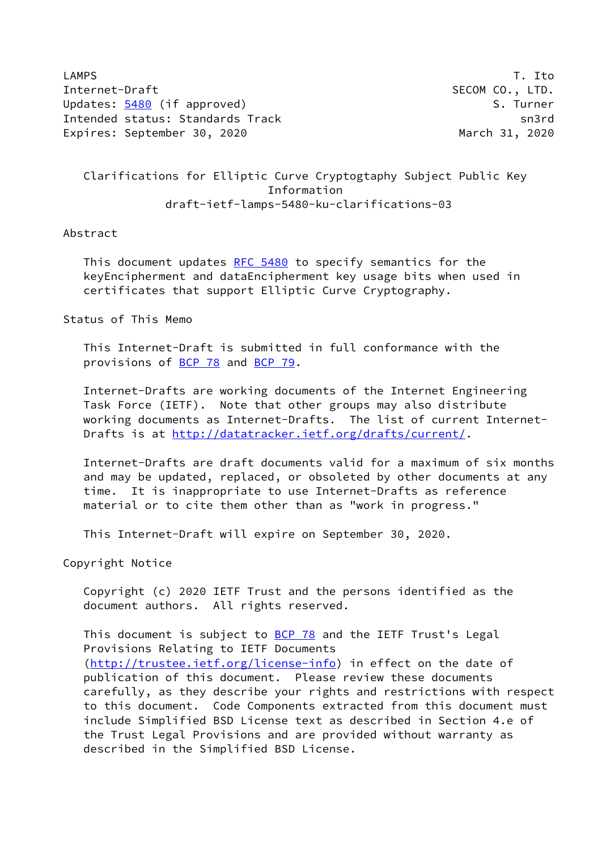LAMPS T. Ito Internet-Draft SECOM CO., LTD. Updates: [5480](https://datatracker.ietf.org/doc/pdf/rfc5480) (if approved) S. Turner Intended status: Standards Track sn3rd Expires: September 30, 2020 March 31, 2020

## Clarifications for Elliptic Curve Cryptogtaphy Subject Public Key Information draft-ietf-lamps-5480-ku-clarifications-03

## Abstract

This document updates [RFC 5480](https://datatracker.ietf.org/doc/pdf/rfc5480) to specify semantics for the keyEncipherment and dataEncipherment key usage bits when used in certificates that support Elliptic Curve Cryptography.

Status of This Memo

 This Internet-Draft is submitted in full conformance with the provisions of [BCP 78](https://datatracker.ietf.org/doc/pdf/bcp78) and [BCP 79](https://datatracker.ietf.org/doc/pdf/bcp79).

 Internet-Drafts are working documents of the Internet Engineering Task Force (IETF). Note that other groups may also distribute working documents as Internet-Drafts. The list of current Internet- Drafts is at<http://datatracker.ietf.org/drafts/current/>.

 Internet-Drafts are draft documents valid for a maximum of six months and may be updated, replaced, or obsoleted by other documents at any time. It is inappropriate to use Internet-Drafts as reference material or to cite them other than as "work in progress."

This Internet-Draft will expire on September 30, 2020.

Copyright Notice

 Copyright (c) 2020 IETF Trust and the persons identified as the document authors. All rights reserved.

This document is subject to **[BCP 78](https://datatracker.ietf.org/doc/pdf/bcp78)** and the IETF Trust's Legal Provisions Relating to IETF Documents [\(http://trustee.ietf.org/license-info](http://trustee.ietf.org/license-info)) in effect on the date of publication of this document. Please review these documents carefully, as they describe your rights and restrictions with respect to this document. Code Components extracted from this document must include Simplified BSD License text as described in Section 4.e of the Trust Legal Provisions and are provided without warranty as described in the Simplified BSD License.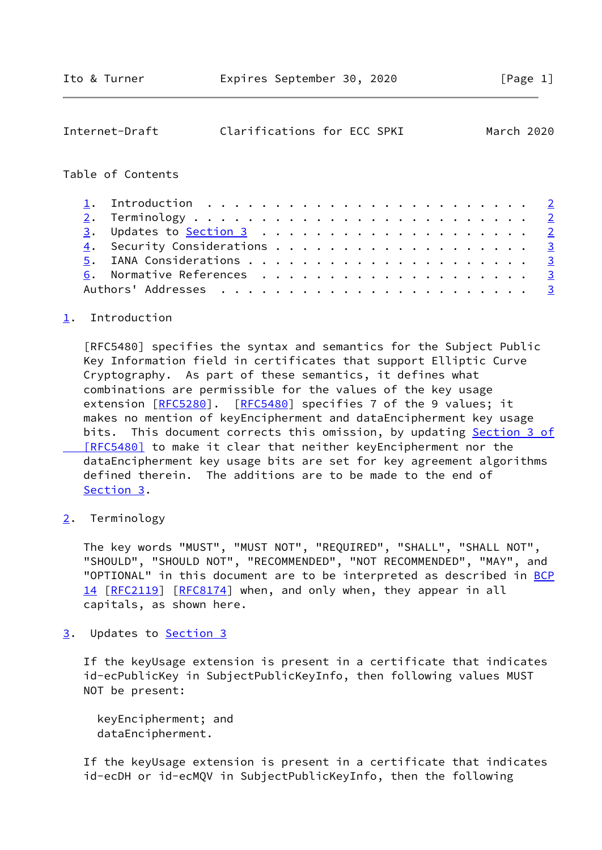<span id="page-1-1"></span>

| Internet-Draft                                                         | Clarifications for ECC SPKI |  |  |  |  |  |  |  |  |  | March 2020              |
|------------------------------------------------------------------------|-----------------------------|--|--|--|--|--|--|--|--|--|-------------------------|
| Table of Contents                                                      |                             |  |  |  |  |  |  |  |  |  |                         |
| Introduction $\ldots \ldots \ldots \ldots \ldots \ldots \ldots \ldots$ |                             |  |  |  |  |  |  |  |  |  |                         |
|                                                                        |                             |  |  |  |  |  |  |  |  |  |                         |
|                                                                        |                             |  |  |  |  |  |  |  |  |  | $\overline{2}$          |
|                                                                        |                             |  |  |  |  |  |  |  |  |  | $\overline{\mathbf{3}}$ |
|                                                                        |                             |  |  |  |  |  |  |  |  |  | $\overline{\mathbf{3}}$ |
|                                                                        |                             |  |  |  |  |  |  |  |  |  | $\frac{3}{2}$           |
|                                                                        |                             |  |  |  |  |  |  |  |  |  | $\overline{3}$          |

## <span id="page-1-0"></span>[1](#page-1-0). Introduction

 [RFC5480] specifies the syntax and semantics for the Subject Public Key Information field in certificates that support Elliptic Curve Cryptography. As part of these semantics, it defines what combinations are permissible for the values of the key usage extension [[RFC5280](https://datatracker.ietf.org/doc/pdf/rfc5280)]. [[RFC5480](https://datatracker.ietf.org/doc/pdf/rfc5480)] specifies 7 of the 9 values; it makes no mention of keyEncipherment and dataEncipherment key usage bits. This document corrects this omission, by updating [Section](https://datatracker.ietf.org/doc/pdf/rfc5480#section-3) 3 of  [\[RFC5480\]](https://datatracker.ietf.org/doc/pdf/rfc5480#section-3) to make it clear that neither keyEncipherment nor the dataEncipherment key usage bits are set for key agreement algorithms defined therein. The additions are to be made to the end of [Section 3](#page-1-3).

<span id="page-1-2"></span>[2](#page-1-2). Terminology

 The key words "MUST", "MUST NOT", "REQUIRED", "SHALL", "SHALL NOT", "SHOULD", "SHOULD NOT", "RECOMMENDED", "NOT RECOMMENDED", "MAY", and "OPTIONAL" in this document are to be interpreted as described in [BCP](https://datatracker.ietf.org/doc/pdf/bcp14) [14](https://datatracker.ietf.org/doc/pdf/bcp14) [[RFC2119\]](https://datatracker.ietf.org/doc/pdf/rfc2119) [\[RFC8174](https://datatracker.ietf.org/doc/pdf/rfc8174)] when, and only when, they appear in all capitals, as shown here.

<span id="page-1-3"></span>[3](#page-1-3). Updates to [Section 3](#page-1-3)

 If the keyUsage extension is present in a certificate that indicates id-ecPublicKey in SubjectPublicKeyInfo, then following values MUST NOT be present:

 keyEncipherment; and dataEncipherment.

 If the keyUsage extension is present in a certificate that indicates id-ecDH or id-ecMQV in SubjectPublicKeyInfo, then the following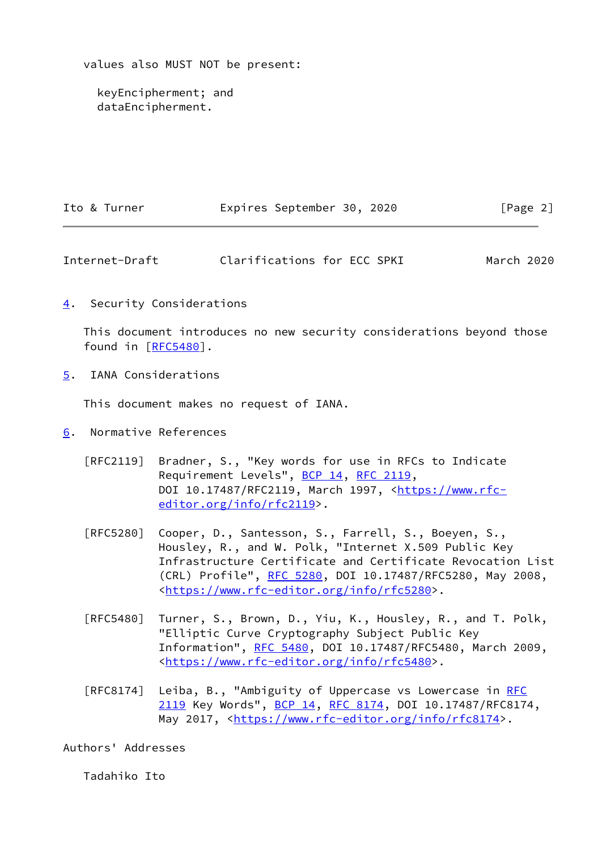values also MUST NOT be present:

 keyEncipherment; and dataEncipherment.

| Ito & Turner | Expires September 30, 2020 |  | [Page 2] |
|--------------|----------------------------|--|----------|
|              |                            |  |          |

<span id="page-2-1"></span>Internet-Draft Clarifications for ECC SPKI March 2020

<span id="page-2-0"></span>[4](#page-2-0). Security Considerations

 This document introduces no new security considerations beyond those found in [\[RFC5480](https://datatracker.ietf.org/doc/pdf/rfc5480)].

<span id="page-2-2"></span>[5](#page-2-2). IANA Considerations

This document makes no request of IANA.

- <span id="page-2-3"></span>[6](#page-2-3). Normative References
	- [RFC2119] Bradner, S., "Key words for use in RFCs to Indicate Requirement Levels", [BCP 14](https://datatracker.ietf.org/doc/pdf/bcp14), [RFC 2119](https://datatracker.ietf.org/doc/pdf/rfc2119), DOI 10.17487/RFC2119, March 1997, [<https://www.rfc](https://www.rfc-editor.org/info/rfc2119) [editor.org/info/rfc2119](https://www.rfc-editor.org/info/rfc2119)>.
	- [RFC5280] Cooper, D., Santesson, S., Farrell, S., Boeyen, S., Housley, R., and W. Polk, "Internet X.509 Public Key Infrastructure Certificate and Certificate Revocation List (CRL) Profile", [RFC 5280,](https://datatracker.ietf.org/doc/pdf/rfc5280) DOI 10.17487/RFC5280, May 2008, <[https://www.rfc-editor.org/info/rfc5280>](https://www.rfc-editor.org/info/rfc5280).
	- [RFC5480] Turner, S., Brown, D., Yiu, K., Housley, R., and T. Polk, "Elliptic Curve Cryptography Subject Public Key Information", [RFC 5480](https://datatracker.ietf.org/doc/pdf/rfc5480), DOI 10.17487/RFC5480, March 2009, <[https://www.rfc-editor.org/info/rfc5480>](https://www.rfc-editor.org/info/rfc5480).
	- [RFC8174] Leiba, B., "Ambiguity of Uppercase vs Lowercase in [RFC](https://datatracker.ietf.org/doc/pdf/rfc2119) [2119](https://datatracker.ietf.org/doc/pdf/rfc2119) Key Words", [BCP 14](https://datatracker.ietf.org/doc/pdf/bcp14), [RFC 8174,](https://datatracker.ietf.org/doc/pdf/rfc8174) DOI 10.17487/RFC8174, May 2017, [<https://www.rfc-editor.org/info/rfc8174](https://www.rfc-editor.org/info/rfc8174)>.

Authors' Addresses

Tadahiko Ito